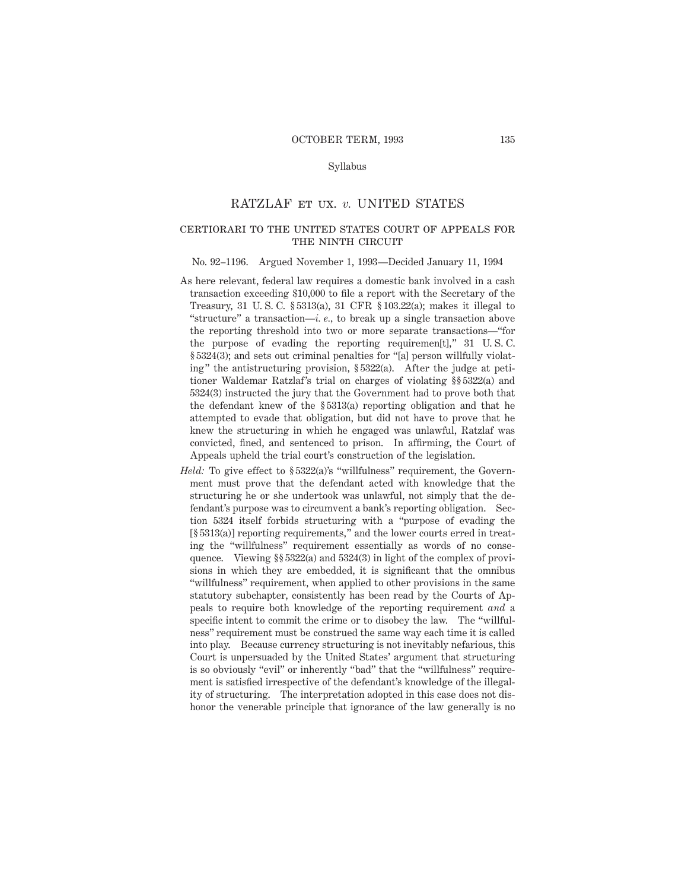### Syllabus

# RATZLAF et ux. *v.* UNITED STATES

### certiorari to the united states court of appeals forTHE NINTH CIRCUIT

#### No. 92–1196. Argued November 1, 1993—Decided January 11, 1994

- As here relevant, federal law requires a domestic bank involved in a cash transaction exceeding \$10,000 to file a report with the Secretary of the Treasury, 31 U. S. C. § 5313(a), 31 CFR § 103.22(a); makes it illegal to "structure" a transaction—*i. e.,* to break up a single transaction above the reporting threshold into two or more separate transactions—"for the purpose of evading the reporting requiremen[t]," 31 U. S. C. § 5324(3); and sets out criminal penalties for "[a] person willfully violating" the antistructuring provision, § 5322(a). After the judge at petitioner Waldemar Ratzlaf's trial on charges of violating §§ 5322(a) and 5324(3) instructed the jury that the Government had to prove both that the defendant knew of the § 5313(a) reporting obligation and that he attempted to evade that obligation, but did not have to prove that he knew the structuring in which he engaged was unlawful, Ratzlaf was convicted, fined, and sentenced to prison. In affirming, the Court of Appeals upheld the trial court's construction of the legislation.
- *Held:* To give effect to §5322(a)'s "willfulness" requirement, the Government must prove that the defendant acted with knowledge that the structuring he or she undertook was unlawful, not simply that the defendant's purpose was to circumvent a bank's reporting obligation. Section 5324 itself forbids structuring with a "purpose of evading the [§ 5313(a)] reporting requirements," and the lower courts erred in treating the "willfulness" requirement essentially as words of no consequence. Viewing §§ 5322(a) and 5324(3) in light of the complex of provisions in which they are embedded, it is significant that the omnibus "willfulness" requirement, when applied to other provisions in the same statutory subchapter, consistently has been read by the Courts of Appeals to require both knowledge of the reporting requirement *and* a specific intent to commit the crime or to disobey the law. The "willfulness" requirement must be construed the same way each time it is called into play. Because currency structuring is not inevitably nefarious, this Court is unpersuaded by the United States' argument that structuring is so obviously "evil" or inherently "bad" that the "willfulness" requirement is satisfied irrespective of the defendant's knowledge of the illegality of structuring. The interpretation adopted in this case does not dishonor the venerable principle that ignorance of the law generally is no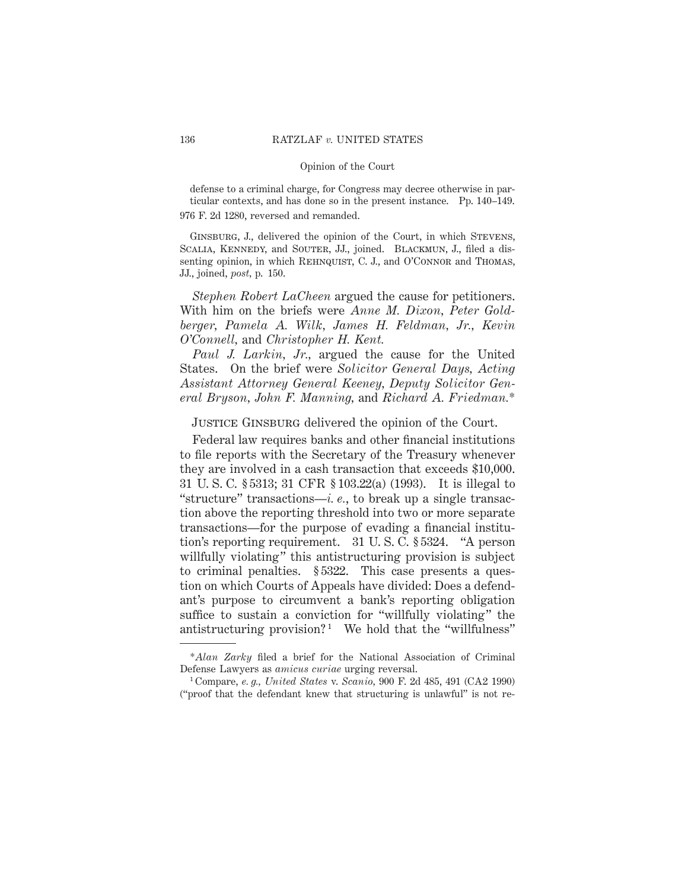defense to a criminal charge, for Congress may decree otherwise in particular contexts, and has done so in the present instance. Pp. 140–149. 976 F. 2d 1280, reversed and remanded.

GINSBURG, J., delivered the opinion of the Court, in which STEVENS, SCALIA, KENNEDY, and SOUTER, JJ., joined. BLACKMUN, J., filed a dissenting opinion, in which REHNQUIST, C. J., and O'CONNOR and THOMAS, JJ., joined, *post,* p. 150.

*Stephen Robert LaCheen* argued the cause for petitioners. With him on the briefs were *Anne M. Dixon, Peter Goldberger, Pamela A. Wilk, James H. Feldman, Jr., Kevin O'Connell,* and *Christopher H. Kent.*

*Paul J. Larkin, Jr.,* argued the cause for the United States. On the brief were *Solicitor General Days, Acting Assistant Attorney General Keeney, Deputy Solicitor General Bryson, John F. Manning,* and *Richard A. Friedman.*\*

JUSTICE GINSBURG delivered the opinion of the Court.

Federal law requires banks and other financial institutions to file reports with the Secretary of the Treasury whenever they are involved in a cash transaction that exceeds \$10,000. 31 U. S. C. § 5313; 31 CFR § 103.22(a) (1993). It is illegal to "structure" transactions—*i. e.*, to break up a single transaction above the reporting threshold into two or more separate transactions—for the purpose of evading a financial institution's reporting requirement. 31 U. S. C. § 5324. "A person willfully violating" this antistructuring provision is subject to criminal penalties. § 5322. This case presents a question on which Courts of Appeals have divided: Does a defendant's purpose to circumvent a bank's reporting obligation suffice to sustain a conviction for "willfully violating" the antistructuring provision?<sup>1</sup> We hold that the "willfulness"

<sup>\*</sup>*Alan Zarky* filed a brief for the National Association of Criminal Defense Lawyers as *amicus curiae* urging reversal.

<sup>1</sup> Compare, *e. g., United States* v. *Scanio,* 900 F. 2d 485, 491 (CA2 1990) ("proof that the defendant knew that structuring is unlawful" is not re-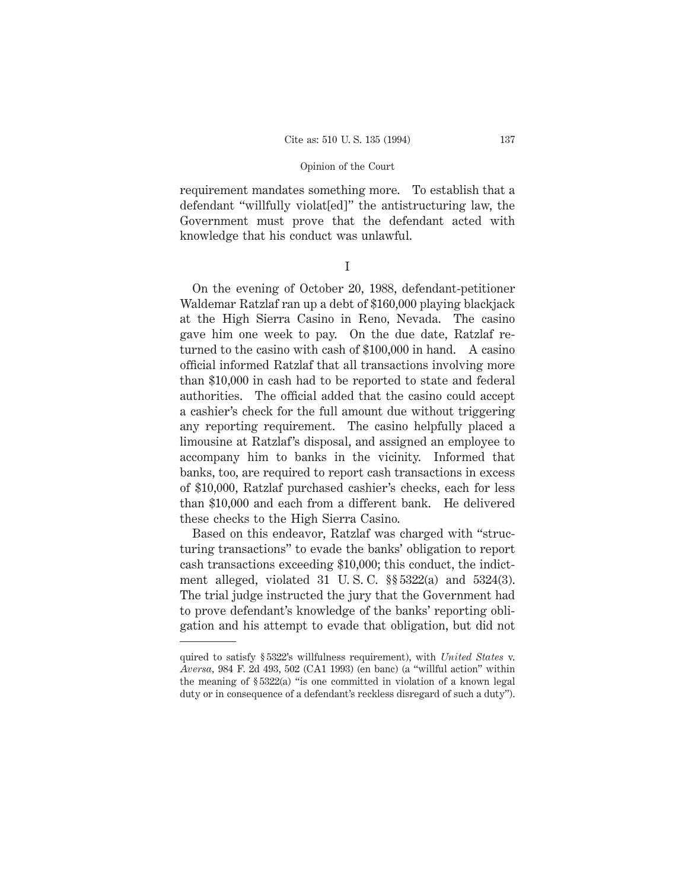requirement mandates something more. To establish that a defendant "willfully violat[ed]" the antistructuring law, the Government must prove that the defendant acted with knowledge that his conduct was unlawful.

On the evening of October 20, 1988, defendant-petitioner Waldemar Ratzlaf ran up a debt of \$160,000 playing blackjack at the High Sierra Casino in Reno, Nevada. The casino gave him one week to pay. On the due date, Ratzlaf returned to the casino with cash of \$100,000 in hand. A casino official informed Ratzlaf that all transactions involving more than \$10,000 in cash had to be reported to state and federal authorities. The official added that the casino could accept a cashier's check for the full amount due without triggering any reporting requirement. The casino helpfully placed a limousine at Ratzlaf's disposal, and assigned an employee to accompany him to banks in the vicinity. Informed that banks, too, are required to report cash transactions in excess of \$10,000, Ratzlaf purchased cashier's checks, each for less than \$10,000 and each from a different bank. He delivered these checks to the High Sierra Casino.

Based on this endeavor, Ratzlaf was charged with "structuring transactions" to evade the banks' obligation to report cash transactions exceeding \$10,000; this conduct, the indictment alleged, violated 31 U. S. C. §§ 5322(a) and 5324(3). The trial judge instructed the jury that the Government had to prove defendant's knowledge of the banks' reporting obligation and his attempt to evade that obligation, but did not

I

quired to satisfy § 5322's willfulness requirement), with *United States* v. *Aversa,* 984 F. 2d 493, 502 (CA1 1993) (en banc) (a "willful action" within the meaning of  $\S 5322(a)$  "is one committed in violation of a known legal duty or in consequence of a defendant's reckless disregard of such a duty").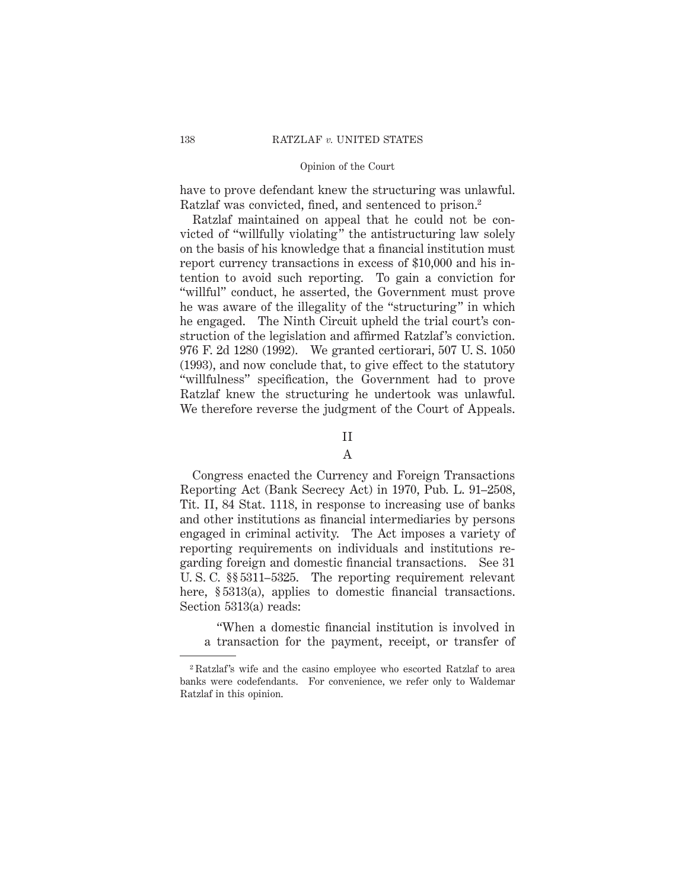have to prove defendant knew the structuring was unlawful. Ratzlaf was convicted, fined, and sentenced to prison.2

Ratzlaf maintained on appeal that he could not be convicted of "willfully violating" the antistructuring law solely on the basis of his knowledge that a financial institution must report currency transactions in excess of \$10,000 and his intention to avoid such reporting. To gain a conviction for "willful" conduct, he asserted, the Government must prove he was aware of the illegality of the "structuring" in which he engaged. The Ninth Circuit upheld the trial court's construction of the legislation and affirmed Ratzlaf's conviction. 976 F. 2d 1280 (1992). We granted certiorari, 507 U. S. 1050 (1993), and now conclude that, to give effect to the statutory "willfulness" specification, the Government had to prove Ratzlaf knew the structuring he undertook was unlawful. We therefore reverse the judgment of the Court of Appeals.

### II

# A

Congress enacted the Currency and Foreign Transactions Reporting Act (Bank Secrecy Act) in 1970, Pub. L. 91–2508, Tit. II, 84 Stat. 1118, in response to increasing use of banks and other institutions as financial intermediaries by persons engaged in criminal activity. The Act imposes a variety of reporting requirements on individuals and institutions regarding foreign and domestic financial transactions. See 31 U. S. C. §§ 5311–5325. The reporting requirement relevant here, §5313(a), applies to domestic financial transactions. Section 5313(a) reads:

"When a domestic financial institution is involved in a transaction for the payment, receipt, or transfer of

<sup>2</sup> Ratzlaf's wife and the casino employee who escorted Ratzlaf to area banks were codefendants. For convenience, we refer only to Waldemar Ratzlaf in this opinion.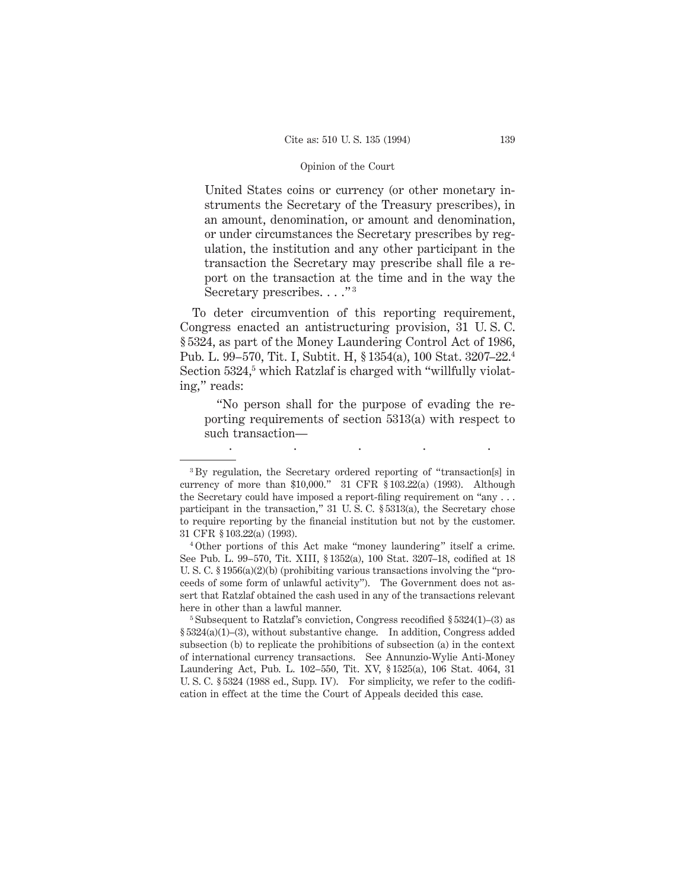United States coins or currency (or other monetary instruments the Secretary of the Treasury prescribes), in an amount, denomination, or amount and denomination, or under circumstances the Secretary prescribes by regulation, the institution and any other participant in the transaction the Secretary may prescribe shall file a report on the transaction at the time and in the way the Secretary prescribes. . . . "<sup>3</sup>

To deter circumvention of this reporting requirement, Congress enacted an antistructuring provision, 31 U. S. C. § 5324, as part of the Money Laundering Control Act of 1986, Pub. L. 99–570, Tit. I, Subtit. H, § 1354(a), 100 Stat. 3207–22.4 Section 5324,<sup>5</sup> which Ratzlaf is charged with "willfully violating," reads:

"No person shall for the purpose of evading the reporting requirements of section 5313(a) with respect to such transaction—

.....

<sup>3</sup> By regulation, the Secretary ordered reporting of "transaction[s] in currency of more than \$10,000." 31 CFR § 103.22(a) (1993). Although the Secretary could have imposed a report-filing requirement on "any . . . participant in the transaction," 31 U. S. C. § 5313(a), the Secretary chose to require reporting by the financial institution but not by the customer. 31 CFR § 103.22(a) (1993).

<sup>4</sup> Other portions of this Act make "money laundering" itself a crime. See Pub. L. 99–570, Tit. XIII, § 1352(a), 100 Stat. 3207–18, codified at 18 U. S. C. § 1956(a)(2)(b) (prohibiting various transactions involving the "proceeds of some form of unlawful activity"). The Government does not assert that Ratzlaf obtained the cash used in any of the transactions relevant here in other than a lawful manner.

 $5$  Subsequent to Ratzlaf's conviction, Congress recodified  $$5324(1)–(3)$  as  $§ 5324(a)(1)–(3)$ , without substantive change. In addition, Congress added subsection (b) to replicate the prohibitions of subsection (a) in the context of international currency transactions. See Annunzio-Wylie Anti-Money Laundering Act, Pub. L. 102–550, Tit. XV, § 1525(a), 106 Stat. 4064, 31 U. S. C. § 5324 (1988 ed., Supp. IV). For simplicity, we refer to the codification in effect at the time the Court of Appeals decided this case.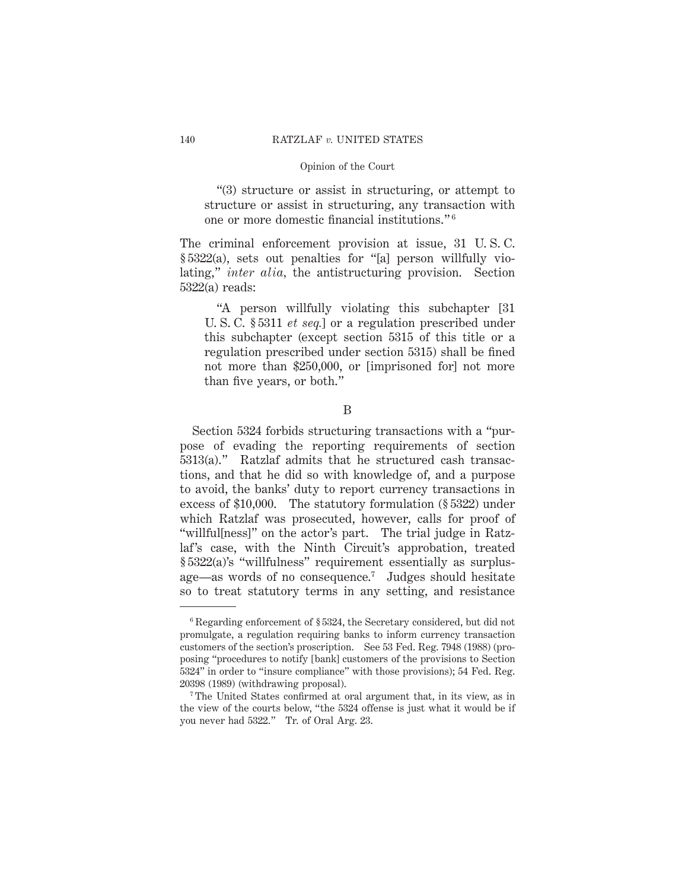"(3) structure or assist in structuring, or attempt to structure or assist in structuring, any transaction with one or more domestic financial institutions." <sup>6</sup>

The criminal enforcement provision at issue, 31 U. S. C. § 5322(a), sets out penalties for "[a] person willfully violating," *inter alia,* the antistructuring provision. Section 5322(a) reads:

"A person willfully violating this subchapter [31 U. S. C. § 5311 *et seq.*] or a regulation prescribed under this subchapter (except section 5315 of this title or a regulation prescribed under section 5315) shall be fined not more than \$250,000, or [imprisoned for] not more than five years, or both."

B

Section 5324 forbids structuring transactions with a "purpose of evading the reporting requirements of section 5313(a)." Ratzlaf admits that he structured cash transactions, and that he did so with knowledge of, and a purpose to avoid, the banks' duty to report currency transactions in excess of \$10,000. The statutory formulation (§ 5322) under which Ratzlaf was prosecuted, however, calls for proof of "willful[ness]" on the actor's part. The trial judge in Ratzlaf's case, with the Ninth Circuit's approbation, treated § 5322(a)'s "willfulness" requirement essentially as surplusage—as words of no consequence.7 Judges should hesitate so to treat statutory terms in any setting, and resistance

<sup>6</sup> Regarding enforcement of § 5324, the Secretary considered, but did not promulgate, a regulation requiring banks to inform currency transaction customers of the section's proscription. See 53 Fed. Reg. 7948 (1988) (proposing "procedures to notify [bank] customers of the provisions to Section 5324" in order to "insure compliance" with those provisions); 54 Fed. Reg. 20398 (1989) (withdrawing proposal).

<sup>7</sup> The United States confirmed at oral argument that, in its view, as in the view of the courts below, "the 5324 offense is just what it would be if you never had 5322." Tr. of Oral Arg. 23.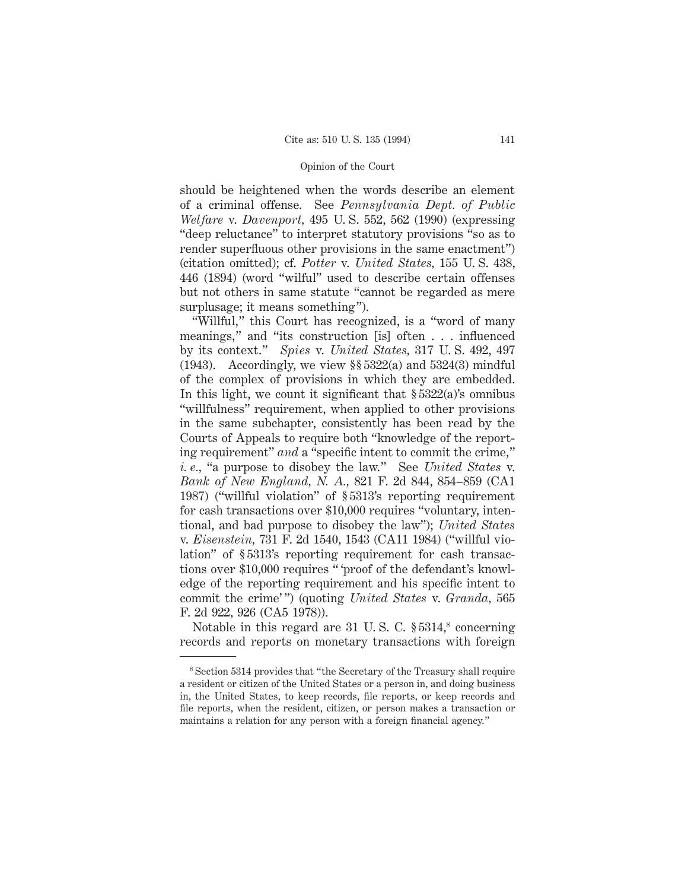should be heightened when the words describe an element of a criminal offense. See *Pennsylvania Dept. of Public Welfare* v. *Davenport,* 495 U. S. 552, 562 (1990) (expressing "deep reluctance" to interpret statutory provisions "so as to render superfluous other provisions in the same enactment") (citation omitted); cf. *Potter* v. *United States,* 155 U. S. 438, 446 (1894) (word "wilful" used to describe certain offenses but not others in same statute "cannot be regarded as mere surplusage; it means something").

"Willful," this Court has recognized, is a "word of many meanings," and "its construction [is] often . . . influenced by its context." *Spies* v. *United States,* 317 U. S. 492, 497 (1943). Accordingly, we view §§ 5322(a) and 5324(3) mindful of the complex of provisions in which they are embedded. In this light, we count it significant that  $\S 5322(a)$ 's omnibus "willfulness" requirement, when applied to other provisions in the same subchapter, consistently has been read by the Courts of Appeals to require both "knowledge of the reporting requirement" *and* a "specific intent to commit the crime," *i. e.,* "a purpose to disobey the law." See *United States* v. *Bank of New England, N. A.,* 821 F. 2d 844, 854–859 (CA1 1987) ("willful violation" of § 5313's reporting requirement for cash transactions over \$10,000 requires "voluntary, intentional, and bad purpose to disobey the law"); *United States* v. *Eisenstein,* 731 F. 2d 1540, 1543 (CA11 1984) ("willful violation" of § 5313's reporting requirement for cash transactions over \$10,000 requires " 'proof of the defendant's knowledge of the reporting requirement and his specific intent to commit the crime' ") (quoting *United States* v. *Granda,* 565 F. 2d 922, 926 (CA5 1978)).

Notable in this regard are  $31 \,$  U.S. C.  $\S 5314$ ,<sup>8</sup> concerning records and reports on monetary transactions with foreign

<sup>8</sup> Section 5314 provides that "the Secretary of the Treasury shall require a resident or citizen of the United States or a person in, and doing business in, the United States, to keep records, file reports, or keep records and file reports, when the resident, citizen, or person makes a transaction or maintains a relation for any person with a foreign financial agency."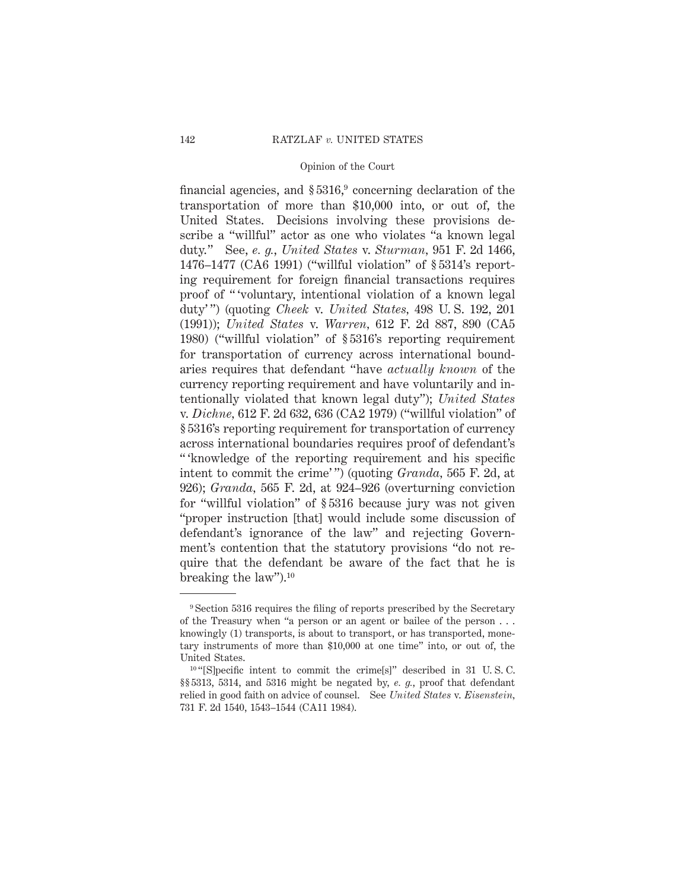financial agencies, and  $\S 5316$ , concerning declaration of the transportation of more than \$10,000 into, or out of, the United States. Decisions involving these provisions describe a "willful" actor as one who violates "a known legal duty." See, *e. g.*, *United States* v. *Sturman,* 951 F. 2d 1466, 1476–1477 (CA6 1991) ("willful violation" of § 5314's reporting requirement for foreign financial transactions requires proof of " 'voluntary, intentional violation of a known legal duty' ") (quoting *Cheek* v. *United States,* 498 U. S. 192, 201 (1991)); *United States* v. *Warren,* 612 F. 2d 887, 890 (CA5 1980) ("willful violation" of § 5316's reporting requirement for transportation of currency across international boundaries requires that defendant "have *actually known* of the currency reporting requirement and have voluntarily and intentionally violated that known legal duty"); *United States* v. *Dichne,* 612 F. 2d 632, 636 (CA2 1979) ("willful violation" of § 5316's reporting requirement for transportation of currency across international boundaries requires proof of defendant's " 'knowledge of the reporting requirement and his specific intent to commit the crime' ") (quoting *Granda,* 565 F. 2d, at 926); *Granda,* 565 F. 2d, at 924–926 (overturning conviction for "willful violation" of § 5316 because jury was not given "proper instruction [that] would include some discussion of defendant's ignorance of the law" and rejecting Government's contention that the statutory provisions "do not require that the defendant be aware of the fact that he is breaking the law").10

<sup>9</sup> Section 5316 requires the filing of reports prescribed by the Secretary of the Treasury when "a person or an agent or bailee of the person . . . knowingly (1) transports, is about to transport, or has transported, monetary instruments of more than \$10,000 at one time" into, or out of, the United States.

<sup>&</sup>lt;sup>10</sup> "[S]pecific intent to commit the crime[s]" described in 31 U.S.C. §§ 5313, 5314, and 5316 might be negated by, *e. g.*, proof that defendant relied in good faith on advice of counsel. See *United States* v. *Eisenstein,* 731 F. 2d 1540, 1543–1544 (CA11 1984).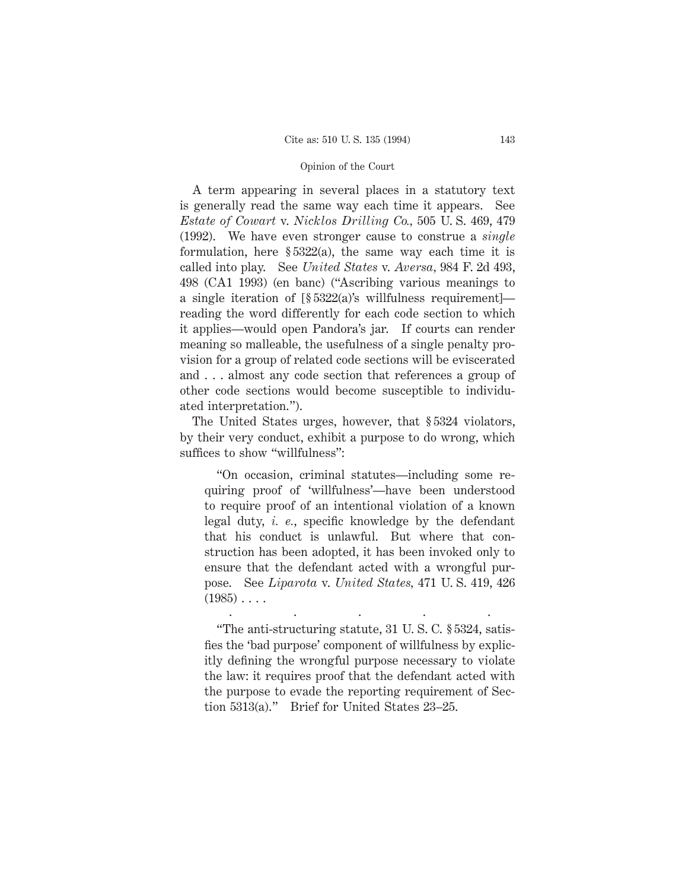A term appearing in several places in a statutory text is generally read the same way each time it appears. See *Estate of Cowart* v. *Nicklos Drilling Co.,* 505 U. S. 469, 479 (1992). We have even stronger cause to construe a *single* formulation, here  $\S 5322(a)$ , the same way each time it is called into play. See *United States* v. *Aversa,* 984 F. 2d 493, 498 (CA1 1993) (en banc) ("Ascribing various meanings to a single iteration of [§ 5322(a)'s willfulness requirement] reading the word differently for each code section to which it applies—would open Pandora's jar. If courts can render meaning so malleable, the usefulness of a single penalty provision for a group of related code sections will be eviscerated and . . . almost any code section that references a group of other code sections would become susceptible to individuated interpretation.").

The United States urges, however, that § 5324 violators, by their very conduct, exhibit a purpose to do wrong, which suffices to show "willfulness":

"On occasion, criminal statutes—including some requiring proof of 'willfulness'—have been understood to require proof of an intentional violation of a known legal duty, *i. e.*, specific knowledge by the defendant that his conduct is unlawful. But where that construction has been adopted, it has been invoked only to ensure that the defendant acted with a wrongful purpose. See *Liparota* v. *United States,* 471 U. S. 419, 426  $(1985) \ldots$ 

"The anti-structuring statute, 31 U. S. C. § 5324, satisfies the 'bad purpose' component of willfulness by explicitly defining the wrongful purpose necessary to violate the law: it requires proof that the defendant acted with the purpose to evade the reporting requirement of Section 5313(a)." Brief for United States 23–25.

.....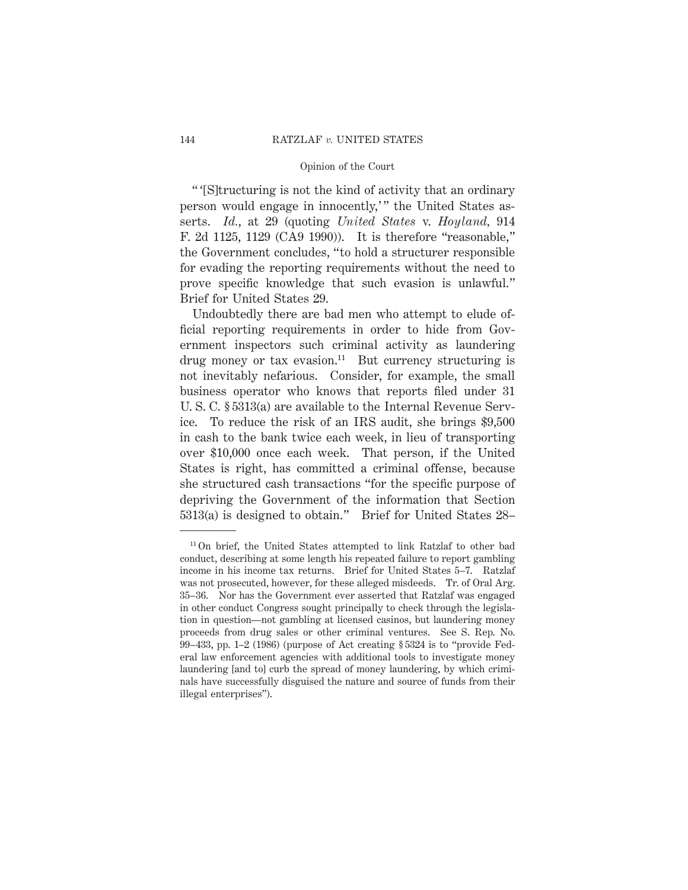" '[S]tructuring is not the kind of activity that an ordinary person would engage in innocently," the United States asserts. *Id.*, at 29 (quoting *United States* v. *Hoyland,* 914 F. 2d 1125, 1129 (CA9 1990)). It is therefore "reasonable," the Government concludes, "to hold a structurer responsible for evading the reporting requirements without the need to prove specific knowledge that such evasion is unlawful." Brief for United States 29.

Undoubtedly there are bad men who attempt to elude official reporting requirements in order to hide from Government inspectors such criminal activity as laundering drug money or tax evasion.<sup>11</sup> But currency structuring is not inevitably nefarious. Consider, for example, the small business operator who knows that reports filed under 31 U. S. C. § 5313(a) are available to the Internal Revenue Service. To reduce the risk of an IRS audit, she brings \$9,500 in cash to the bank twice each week, in lieu of transporting over \$10,000 once each week. That person, if the United States is right, has committed a criminal offense, because she structured cash transactions "for the specific purpose of depriving the Government of the information that Section 5313(a) is designed to obtain." Brief for United States 28–

<sup>11</sup> On brief, the United States attempted to link Ratzlaf to other bad conduct, describing at some length his repeated failure to report gambling income in his income tax returns. Brief for United States 5–7. Ratzlaf was not prosecuted, however, for these alleged misdeeds. Tr. of Oral Arg. 35–36. Nor has the Government ever asserted that Ratzlaf was engaged in other conduct Congress sought principally to check through the legislation in question—not gambling at licensed casinos, but laundering money proceeds from drug sales or other criminal ventures. See S. Rep. No. 99–433, pp. 1–2 (1986) (purpose of Act creating § 5324 is to "provide Federal law enforcement agencies with additional tools to investigate money laundering [and to] curb the spread of money laundering, by which criminals have successfully disguised the nature and source of funds from their illegal enterprises").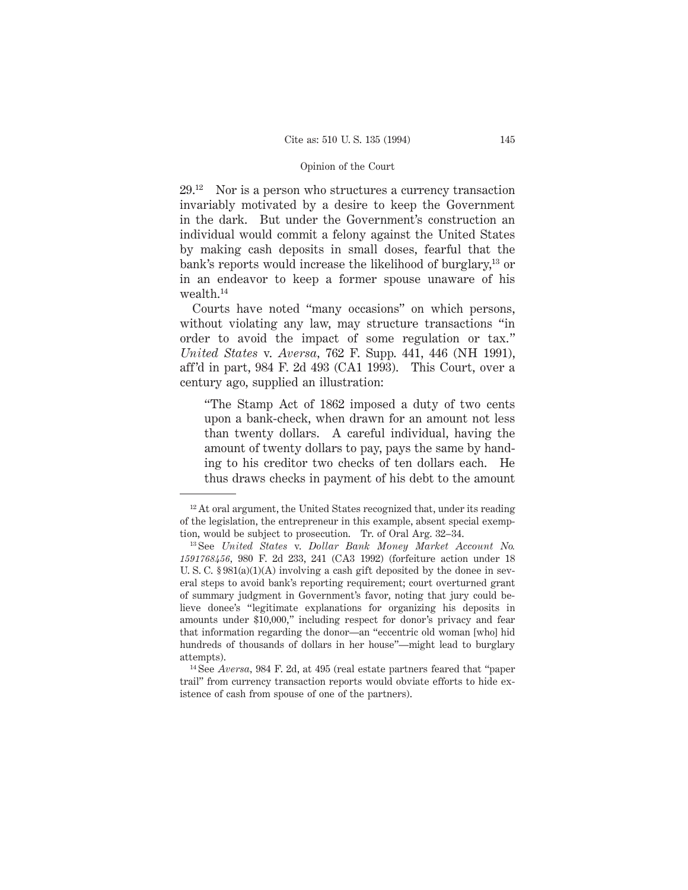$29.^{12}$  Nor is a person who structures a currency transaction invariably motivated by a desire to keep the Government in the dark. But under the Government's construction an individual would commit a felony against the United States by making cash deposits in small doses, fearful that the bank's reports would increase the likelihood of burglary,<sup>13</sup> or in an endeavor to keep a former spouse unaware of his wealth.14

Courts have noted "many occasions" on which persons, without violating any law, may structure transactions "in order to avoid the impact of some regulation or tax." *United States* v. *Aversa,* 762 F. Supp. 441, 446 (NH 1991), aff'd in part, 984 F. 2d 493 (CA1 1993). This Court, over a century ago, supplied an illustration:

"The Stamp Act of 1862 imposed a duty of two cents upon a bank-check, when drawn for an amount not less than twenty dollars. A careful individual, having the amount of twenty dollars to pay, pays the same by handing to his creditor two checks of ten dollars each. He thus draws checks in payment of his debt to the amount

 $12$  At oral argument, the United States recognized that, under its reading of the legislation, the entrepreneur in this example, absent special exemption, would be subject to prosecution. Tr. of Oral Arg. 32–34.

<sup>13</sup> See *United States* v. *Dollar Bank Money Market Account No. 1591768456,* 980 F. 2d 233, 241 (CA3 1992) (forfeiture action under 18 U. S. C.  $\S 981(a)(1)(A)$  involving a cash gift deposited by the donee in several steps to avoid bank's reporting requirement; court overturned grant of summary judgment in Government's favor, noting that jury could believe donee's "legitimate explanations for organizing his deposits in amounts under \$10,000," including respect for donor's privacy and fear that information regarding the donor—an "eccentric old woman [who] hid hundreds of thousands of dollars in her house"—might lead to burglary attempts).

<sup>14</sup> See *Aversa,* 984 F. 2d, at 495 (real estate partners feared that "paper trail" from currency transaction reports would obviate efforts to hide existence of cash from spouse of one of the partners).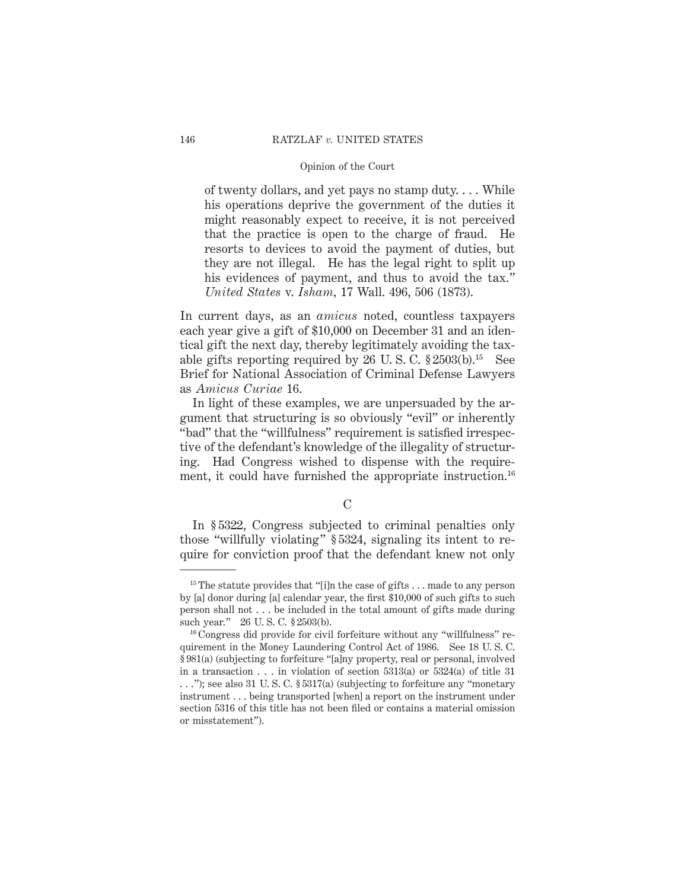of twenty dollars, and yet pays no stamp duty. . . . While his operations deprive the government of the duties it might reasonably expect to receive, it is not perceived that the practice is open to the charge of fraud. He resorts to devices to avoid the payment of duties, but they are not illegal. He has the legal right to split up his evidences of payment, and thus to avoid the tax." *United States* v. *Isham,* 17 Wall. 496, 506 (1873).

In current days, as an *amicus* noted, countless taxpayers each year give a gift of \$10,000 on December 31 and an identical gift the next day, thereby legitimately avoiding the taxable gifts reporting required by 26 U.S.C.  $\S 2503(b).$ <sup>15</sup> See Brief for National Association of Criminal Defense Lawyers as *Amicus Curiae* 16.

In light of these examples, we are unpersuaded by the argument that structuring is so obviously "evil" or inherently "bad" that the "willfulness" requirement is satisfied irrespective of the defendant's knowledge of the illegality of structuring. Had Congress wished to dispense with the requirement, it could have furnished the appropriate instruction.<sup>16</sup>

## $\mathcal{C}$

In § 5322, Congress subjected to criminal penalties only those "willfully violating" § 5324, signaling its intent to require for conviction proof that the defendant knew not only

<sup>&</sup>lt;sup>15</sup> The statute provides that "[i]n the case of gifts . . . made to any person by [a] donor during [a] calendar year, the first \$10,000 of such gifts to such person shall not . . . be included in the total amount of gifts made during such year." 26 U. S. C. § 2503(b).

<sup>16</sup> Congress did provide for civil forfeiture without any "willfulness" requirement in the Money Laundering Control Act of 1986. See 18 U. S. C. § 981(a) (subjecting to forfeiture "[a]ny property, real or personal, involved in a transaction  $\ldots$  in violation of section 5313(a) or 5324(a) of title 31 . . ."); see also 31 U. S. C. § 5317(a) (subjecting to forfeiture any "monetary instrument . . . being transported [when] a report on the instrument under section 5316 of this title has not been filed or contains a material omission or misstatement").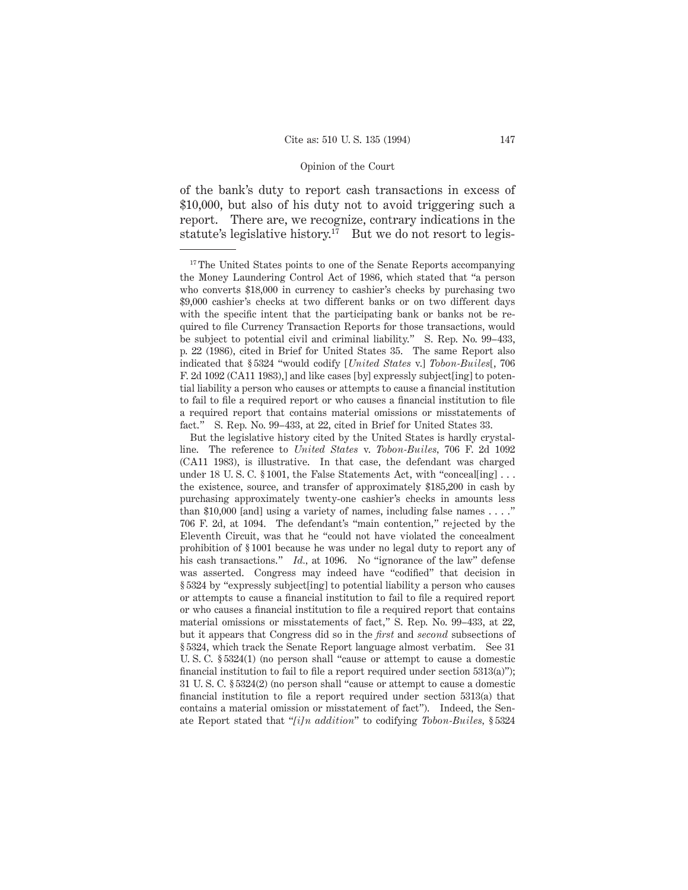of the bank's duty to report cash transactions in excess of \$10,000, but also of his duty not to avoid triggering such a report. There are, we recognize, contrary indications in the statute's legislative history.<sup>17</sup> But we do not resort to legis-

<sup>&</sup>lt;sup>17</sup> The United States points to one of the Senate Reports accompanying the Money Laundering Control Act of 1986, which stated that "a person who converts \$18,000 in currency to cashier's checks by purchasing two \$9,000 cashier's checks at two different banks or on two different days with the specific intent that the participating bank or banks not be required to file Currency Transaction Reports for those transactions, would be subject to potential civil and criminal liability." S. Rep. No. 99–433, p. 22 (1986), cited in Brief for United States 35. The same Report also indicated that § 5324 "would codify [*United States* v.] *Tobon-Builes*[, 706 F. 2d 1092 (CA11 1983),] and like cases [by] expressly subject[ing] to potential liability a person who causes or attempts to cause a financial institution to fail to file a required report or who causes a financial institution to file a required report that contains material omissions or misstatements of fact." S. Rep. No. 99–433, at 22, cited in Brief for United States 33.

But the legislative history cited by the United States is hardly crystalline. The reference to *United States* v. *Tobon-Builes,* 706 F. 2d 1092 (CA11 1983), is illustrative. In that case, the defendant was charged under 18 U.S.C. § 1001, the False Statements Act, with "conceal[ing]... the existence, source, and transfer of approximately \$185,200 in cash by purchasing approximately twenty-one cashier's checks in amounts less than \$10,000 [and] using a variety of names, including false names . . . ." 706 F. 2d, at 1094. The defendant's "main contention," rejected by the Eleventh Circuit, was that he "could not have violated the concealment prohibition of § 1001 because he was under no legal duty to report any of his cash transactions." *Id.*, at 1096. No "ignorance of the law" defense was asserted. Congress may indeed have "codified" that decision in § 5324 by "expressly subject[ing] to potential liability a person who causes or attempts to cause a financial institution to fail to file a required report or who causes a financial institution to file a required report that contains material omissions or misstatements of fact," S. Rep. No. 99–433, at 22, but it appears that Congress did so in the *first* and *second* subsections of § 5324, which track the Senate Report language almost verbatim. See 31 U. S. C. § 5324(1) (no person shall "cause or attempt to cause a domestic financial institution to fail to file a report required under section 5313(a)"); 31 U. S. C. § 5324(2) (no person shall "cause or attempt to cause a domestic financial institution to file a report required under section 5313(a) that contains a material omission or misstatement of fact"). Indeed, the Senate Report stated that "*[i]n addition*" to codifying *Tobon-Builes,* § 5324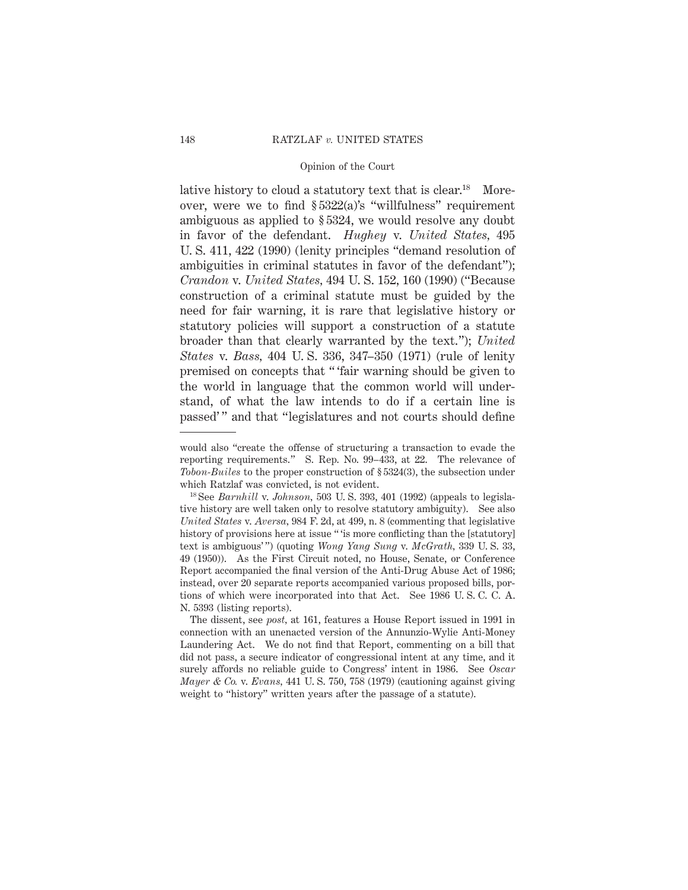lative history to cloud a statutory text that is clear.<sup>18</sup> Moreover, were we to find § 5322(a)'s "willfulness" requirement ambiguous as applied to § 5324, we would resolve any doubt in favor of the defendant. *Hughey* v. *United States,* 495 U. S. 411, 422 (1990) (lenity principles "demand resolution of ambiguities in criminal statutes in favor of the defendant"); *Crandon* v. *United States,* 494 U. S. 152, 160 (1990) ("Because construction of a criminal statute must be guided by the need for fair warning, it is rare that legislative history or statutory policies will support a construction of a statute broader than that clearly warranted by the text."); *United States* v. *Bass,* 404 U. S. 336, 347–350 (1971) (rule of lenity premised on concepts that " 'fair warning should be given to the world in language that the common world will understand, of what the law intends to do if a certain line is passed' " and that "legislatures and not courts should define

would also "create the offense of structuring a transaction to evade the reporting requirements." S. Rep. No. 99–433, at 22. The relevance of *Tobon-Builes* to the proper construction of § 5324(3), the subsection under which Ratzlaf was convicted, is not evident.

<sup>18</sup> See *Barnhill* v. *Johnson,* 503 U. S. 393, 401 (1992) (appeals to legislative history are well taken only to resolve statutory ambiguity). See also *United States* v. *Aversa,* 984 F. 2d, at 499, n. 8 (commenting that legislative history of provisions here at issue " is more conflicting than the [statutory] text is ambiguous' ") (quoting *Wong Yang Sung* v. *McGrath,* 339 U. S. 33, 49 (1950)). As the First Circuit noted, no House, Senate, or Conference Report accompanied the final version of the Anti-Drug Abuse Act of 1986; instead, over 20 separate reports accompanied various proposed bills, portions of which were incorporated into that Act. See 1986 U. S. C. C. A. N. 5393 (listing reports).

The dissent, see *post,* at 161, features a House Report issued in 1991 in connection with an unenacted version of the Annunzio-Wylie Anti-Money Laundering Act. We do not find that Report, commenting on a bill that did not pass, a secure indicator of congressional intent at any time, and it surely affords no reliable guide to Congress' intent in 1986. See *Oscar Mayer & Co.* v. *Evans,* 441 U. S. 750, 758 (1979) (cautioning against giving weight to "history" written years after the passage of a statute).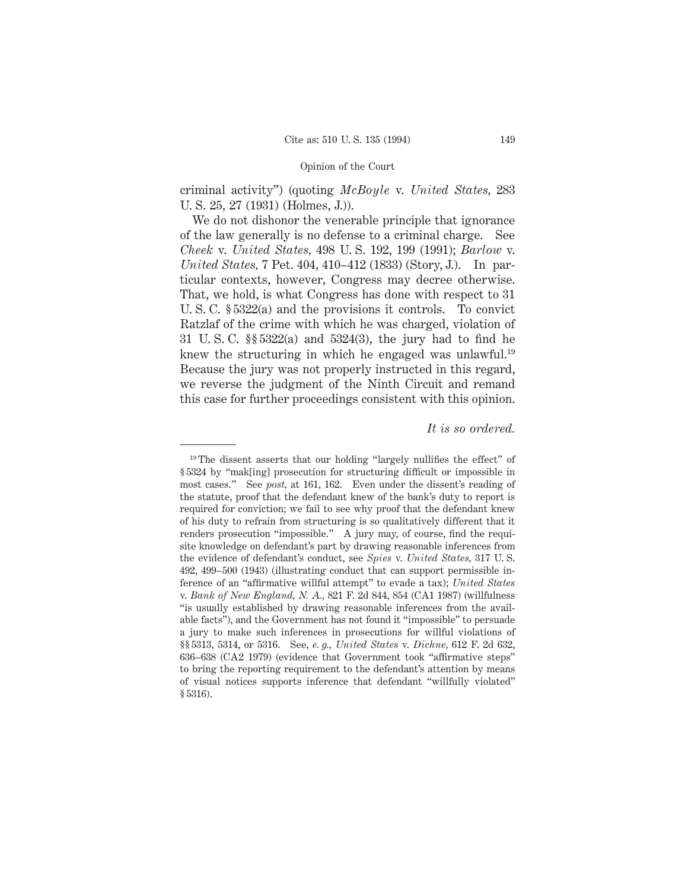criminal activity") (quoting *McBoyle* v. *United States,* 283 U. S. 25, 27 (1931) (Holmes, J.)).

We do not dishonor the venerable principle that ignorance of the law generally is no defense to a criminal charge. See *Cheek* v. *United States,* 498 U. S. 192, 199 (1991); *Barlow* v. *United States,* 7 Pet. 404, 410–412 (1833) (Story, J.). In particular contexts, however, Congress may decree otherwise. That, we hold, is what Congress has done with respect to 31 U. S. C. § 5322(a) and the provisions it controls. To convict Ratzlaf of the crime with which he was charged, violation of 31 U. S. C. §§ 5322(a) and 5324(3), the jury had to find he knew the structuring in which he engaged was unlawful.<sup>19</sup> Because the jury was not properly instructed in this regard, we reverse the judgment of the Ninth Circuit and remand this case for further proceedings consistent with this opinion.

### *It is so ordered.*

<sup>&</sup>lt;sup>19</sup> The dissent asserts that our holding "largely nullifies the effect" of § 5324 by "mak[ing] prosecution for structuring difficult or impossible in most cases." See *post,* at 161, 162. Even under the dissent's reading of the statute, proof that the defendant knew of the bank's duty to report is required for conviction; we fail to see why proof that the defendant knew of his duty to refrain from structuring is so qualitatively different that it renders prosecution "impossible." A jury may, of course, find the requisite knowledge on defendant's part by drawing reasonable inferences from the evidence of defendant's conduct, see *Spies* v. *United States,* 317 U. S. 492, 499–500 (1943) (illustrating conduct that can support permissible inference of an "affirmative willful attempt" to evade a tax); *United States* v. *Bank of New England, N. A.,* 821 F. 2d 844, 854 (CA1 1987) (willfulness "is usually established by drawing reasonable inferences from the available facts"), and the Government has not found it "impossible" to persuade a jury to make such inferences in prosecutions for willful violations of §§ 5313, 5314, or 5316. See, *e. g., United States* v. *Dichne,* 612 F. 2d 632, 636–638 (CA2 1979) (evidence that Government took "affirmative steps" to bring the reporting requirement to the defendant's attention by means of visual notices supports inference that defendant "willfully violated" § 5316).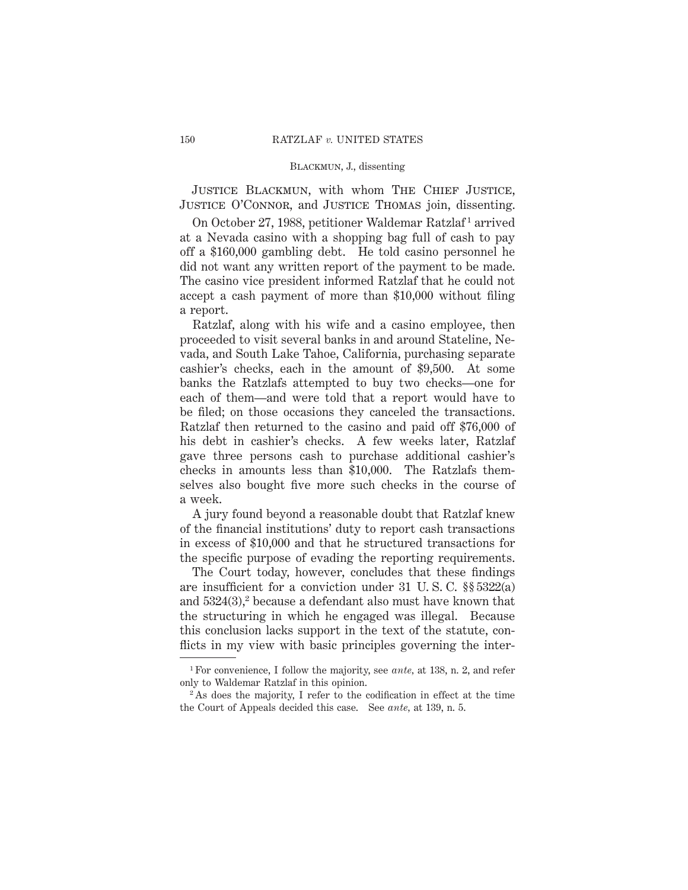JUSTICE BLACKMUN, with whom THE CHIEF JUSTICE, Justice O'Connor, and Justice Thomas join, dissenting.

On October 27, 1988, petitioner Waldemar Ratzlaf<sup>1</sup> arrived at a Nevada casino with a shopping bag full of cash to pay off a \$160,000 gambling debt. He told casino personnel he did not want any written report of the payment to be made. The casino vice president informed Ratzlaf that he could not accept a cash payment of more than \$10,000 without filing a report.

Ratzlaf, along with his wife and a casino employee, then proceeded to visit several banks in and around Stateline, Nevada, and South Lake Tahoe, California, purchasing separate cashier's checks, each in the amount of \$9,500. At some banks the Ratzlafs attempted to buy two checks—one for each of them—and were told that a report would have to be filed; on those occasions they canceled the transactions. Ratzlaf then returned to the casino and paid off \$76,000 of his debt in cashier's checks. A few weeks later, Ratzlaf gave three persons cash to purchase additional cashier's checks in amounts less than \$10,000. The Ratzlafs themselves also bought five more such checks in the course of a week.

A jury found beyond a reasonable doubt that Ratzlaf knew of the financial institutions' duty to report cash transactions in excess of \$10,000 and that he structured transactions for the specific purpose of evading the reporting requirements.

The Court today, however, concludes that these findings are insufficient for a conviction under 31 U. S. C. §§ 5322(a) and  $5324(3)$ , because a defendant also must have known that the structuring in which he engaged was illegal. Because this conclusion lacks support in the text of the statute, conflicts in my view with basic principles governing the inter-

<sup>1</sup> For convenience, I follow the majority, see *ante,* at 138, n. 2, and refer only to Waldemar Ratzlaf in this opinion.

<sup>&</sup>lt;sup>2</sup> As does the majority, I refer to the codification in effect at the time the Court of Appeals decided this case. See *ante,* at 139, n. 5.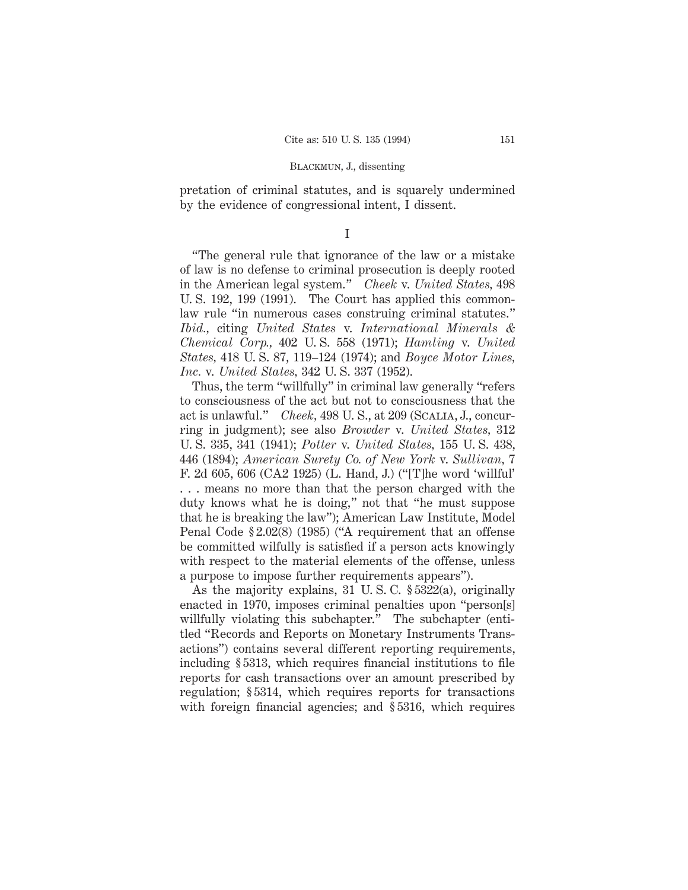pretation of criminal statutes, and is squarely undermined by the evidence of congressional intent, I dissent.

I

"The general rule that ignorance of the law or a mistake of law is no defense to criminal prosecution is deeply rooted in the American legal system." *Cheek* v. *United States,* 498 U. S. 192, 199 (1991). The Court has applied this commonlaw rule "in numerous cases construing criminal statutes." *Ibid.,* citing *United States* v. *International Minerals & Chemical Corp.,* 402 U. S. 558 (1971); *Hamling* v. *United States,* 418 U. S. 87, 119–124 (1974); and *Boyce Motor Lines, Inc.* v. *United States,* 342 U. S. 337 (1952).

Thus, the term "willfully" in criminal law generally "refers to consciousness of the act but not to consciousness that the act is unlawful." *Cheek,* 498 U. S., at 209 (Scalia, J., concurring in judgment); see also *Browder* v. *United States,* 312 U. S. 335, 341 (1941); *Potter* v. *United States,* 155 U. S. 438, 446 (1894); *American Surety Co. of New York* v. *Sullivan,* 7 F. 2d 605, 606 (CA2 1925) (L. Hand, J.) ("[T]he word 'willful' . . . means no more than that the person charged with the duty knows what he is doing," not that "he must suppose that he is breaking the law"); American Law Institute, Model Penal Code § 2.02(8) (1985) ("A requirement that an offense be committed wilfully is satisfied if a person acts knowingly with respect to the material elements of the offense, unless a purpose to impose further requirements appears").

As the majority explains, 31 U. S. C. § 5322(a), originally enacted in 1970, imposes criminal penalties upon "person[s] willfully violating this subchapter." The subchapter (entitled "Records and Reports on Monetary Instruments Transactions") contains several different reporting requirements, including § 5313, which requires financial institutions to file reports for cash transactions over an amount prescribed by regulation; § 5314, which requires reports for transactions with foreign financial agencies; and §5316, which requires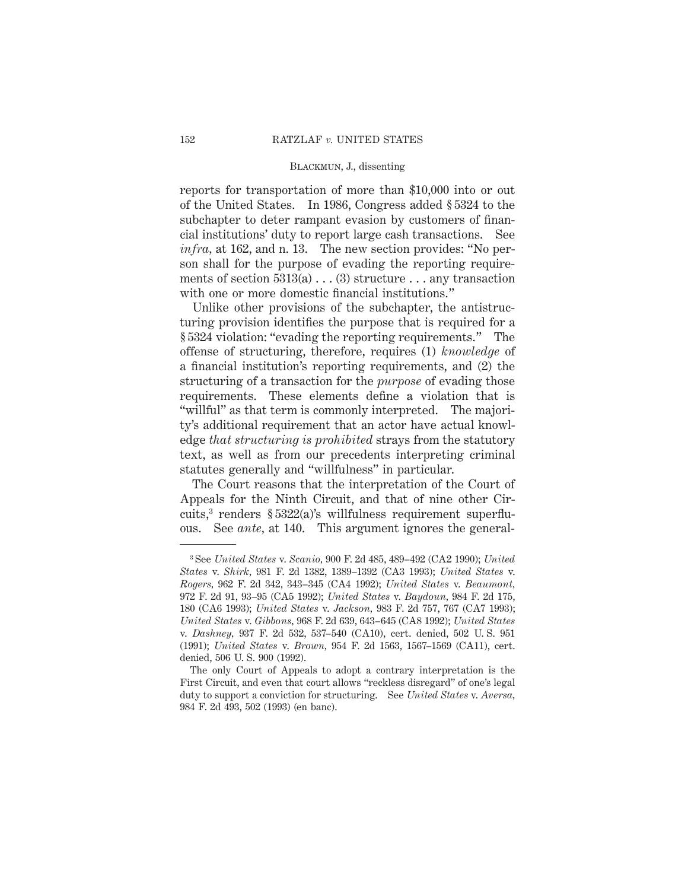reports for transportation of more than \$10,000 into or out of the United States. In 1986, Congress added § 5324 to the subchapter to deter rampant evasion by customers of financial institutions' duty to report large cash transactions. See *infra,* at 162, and n. 13. The new section provides: "No person shall for the purpose of evading the reporting requirements of section  $5313(a) \ldots (3)$  structure ... any transaction with one or more domestic financial institutions."

Unlike other provisions of the subchapter, the antistructuring provision identifies the purpose that is required for a § 5324 violation: "evading the reporting requirements." The offense of structuring, therefore, requires (1) *knowledge* of a financial institution's reporting requirements, and (2) the structuring of a transaction for the *purpose* of evading those requirements. These elements define a violation that is "willful" as that term is commonly interpreted. The majority's additional requirement that an actor have actual knowledge *that structuring is prohibited* strays from the statutory text, as well as from our precedents interpreting criminal statutes generally and "willfulness" in particular.

The Court reasons that the interpretation of the Court of Appeals for the Ninth Circuit, and that of nine other Circuits,<sup>3</sup> renders  $\S 5322(a)$ 's willfulness requirement superfluous. See *ante,* at 140. This argument ignores the general-

<sup>3</sup> See *United States* v. *Scanio,* 900 F. 2d 485, 489–492 (CA2 1990); *United States* v. *Shirk,* 981 F. 2d 1382, 1389–1392 (CA3 1993); *United States* v. *Rogers,* 962 F. 2d 342, 343–345 (CA4 1992); *United States* v. *Beaumont,* 972 F. 2d 91, 93–95 (CA5 1992); *United States* v. *Baydoun,* 984 F. 2d 175, 180 (CA6 1993); *United States* v. *Jackson,* 983 F. 2d 757, 767 (CA7 1993); *United States* v. *Gibbons,* 968 F. 2d 639, 643–645 (CA8 1992); *United States* v. *Dashney,* 937 F. 2d 532, 537–540 (CA10), cert. denied, 502 U. S. 951 (1991); *United States* v. *Brown,* 954 F. 2d 1563, 1567–1569 (CA11), cert. denied, 506 U. S. 900 (1992).

The only Court of Appeals to adopt a contrary interpretation is the First Circuit, and even that court allows "reckless disregard" of one's legal duty to support a conviction for structuring. See *United States* v. *Aversa,* 984 F. 2d 493, 502 (1993) (en banc).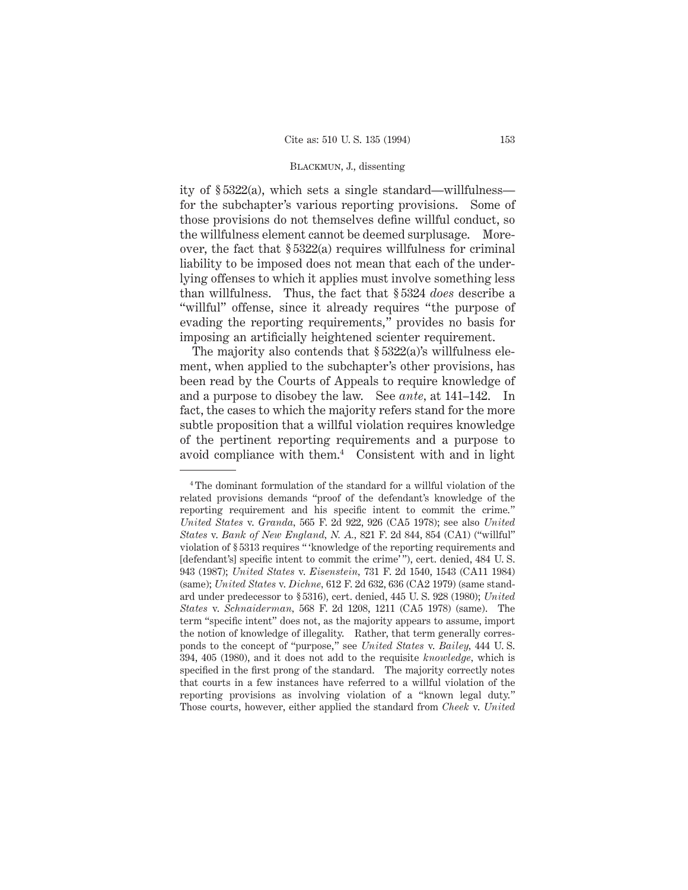ity of § 5322(a), which sets a single standard—willfulness for the subchapter's various reporting provisions. Some of those provisions do not themselves define willful conduct, so the willfulness element cannot be deemed surplusage. Moreover, the fact that § 5322(a) requires willfulness for criminal liability to be imposed does not mean that each of the underlying offenses to which it applies must involve something less than willfulness. Thus, the fact that § 5324 *does* describe a "willful" offense, since it already requires "the purpose of evading the reporting requirements," provides no basis for imposing an artificially heightened scienter requirement.

The majority also contends that  $\S 5322(a)$ 's willfulness element, when applied to the subchapter's other provisions, has been read by the Courts of Appeals to require knowledge of and a purpose to disobey the law. See *ante,* at 141–142. In fact, the cases to which the majority refers stand for the more subtle proposition that a willful violation requires knowledge of the pertinent reporting requirements and a purpose to avoid compliance with them.4 Consistent with and in light

<sup>4</sup> The dominant formulation of the standard for a willful violation of the related provisions demands "proof of the defendant's knowledge of the reporting requirement and his specific intent to commit the crime." *United States* v. *Granda,* 565 F. 2d 922, 926 (CA5 1978); see also *United States* v. *Bank of New England, N. A.,* 821 F. 2d 844, 854 (CA1) ("willful" violation of § 5313 requires " 'knowledge of the reporting requirements and [defendant's] specific intent to commit the crime' "), cert. denied, 484 U. S. 943 (1987); *United States* v. *Eisenstein,* 731 F. 2d 1540, 1543 (CA11 1984) (same); *United States* v. *Dichne,* 612 F. 2d 632, 636 (CA2 1979) (same standard under predecessor to § 5316), cert. denied, 445 U. S. 928 (1980); *United States* v. *Schnaiderman,* 568 F. 2d 1208, 1211 (CA5 1978) (same). The term "specific intent" does not, as the majority appears to assume, import the notion of knowledge of illegality. Rather, that term generally corresponds to the concept of "purpose," see *United States* v. *Bailey,* 444 U. S. 394, 405 (1980), and it does not add to the requisite *knowledge,* which is specified in the first prong of the standard. The majority correctly notes that courts in a few instances have referred to a willful violation of the reporting provisions as involving violation of a "known legal duty." Those courts, however, either applied the standard from *Cheek* v. *United*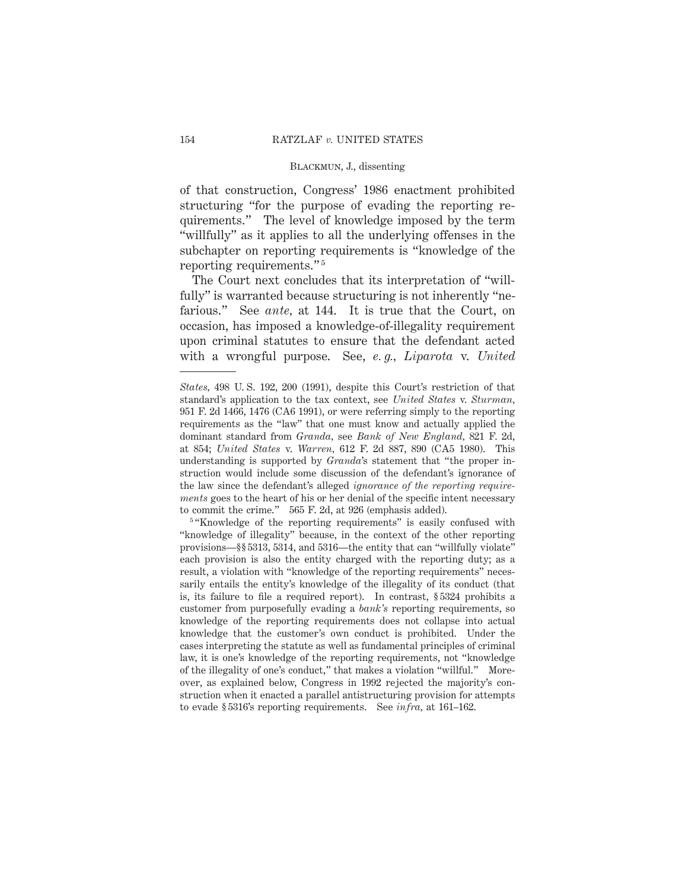of that construction, Congress' 1986 enactment prohibited structuring "for the purpose of evading the reporting requirements." The level of knowledge imposed by the term "willfully" as it applies to all the underlying offenses in the subchapter on reporting requirements is "knowledge of the reporting requirements." <sup>5</sup>

The Court next concludes that its interpretation of "willfully" is warranted because structuring is not inherently "nefarious." See *ante,* at 144. It is true that the Court, on occasion, has imposed a knowledge-of-illegality requirement upon criminal statutes to ensure that the defendant acted with a wrongful purpose. See, *e. g., Liparota* v. *United*

<sup>5</sup> "Knowledge of the reporting requirements" is easily confused with "knowledge of illegality" because, in the context of the other reporting provisions—§§ 5313, 5314, and 5316—the entity that can "willfully violate" each provision is also the entity charged with the reporting duty; as a result, a violation with "knowledge of the reporting requirements" necessarily entails the entity's knowledge of the illegality of its conduct (that is, its failure to file a required report). In contrast, § 5324 prohibits a customer from purposefully evading a *bank's* reporting requirements, so knowledge of the reporting requirements does not collapse into actual knowledge that the customer's own conduct is prohibited. Under the cases interpreting the statute as well as fundamental principles of criminal law, it is one's knowledge of the reporting requirements, not "knowledge of the illegality of one's conduct," that makes a violation "willful." Moreover, as explained below, Congress in 1992 rejected the majority's construction when it enacted a parallel antistructuring provision for attempts to evade § 5316's reporting requirements. See *infra,* at 161–162.

*States,* 498 U. S. 192, 200 (1991), despite this Court's restriction of that standard's application to the tax context, see *United States* v. *Sturman,* 951 F. 2d 1466, 1476 (CA6 1991), or were referring simply to the reporting requirements as the "law" that one must know and actually applied the dominant standard from *Granda,* see *Bank of New England,* 821 F. 2d, at 854; *United States* v. *Warren,* 612 F. 2d 887, 890 (CA5 1980). This understanding is supported by *Granda*'s statement that "the proper instruction would include some discussion of the defendant's ignorance of the law since the defendant's alleged *ignorance of the reporting requirements* goes to the heart of his or her denial of the specific intent necessary to commit the crime." 565 F. 2d, at 926 (emphasis added).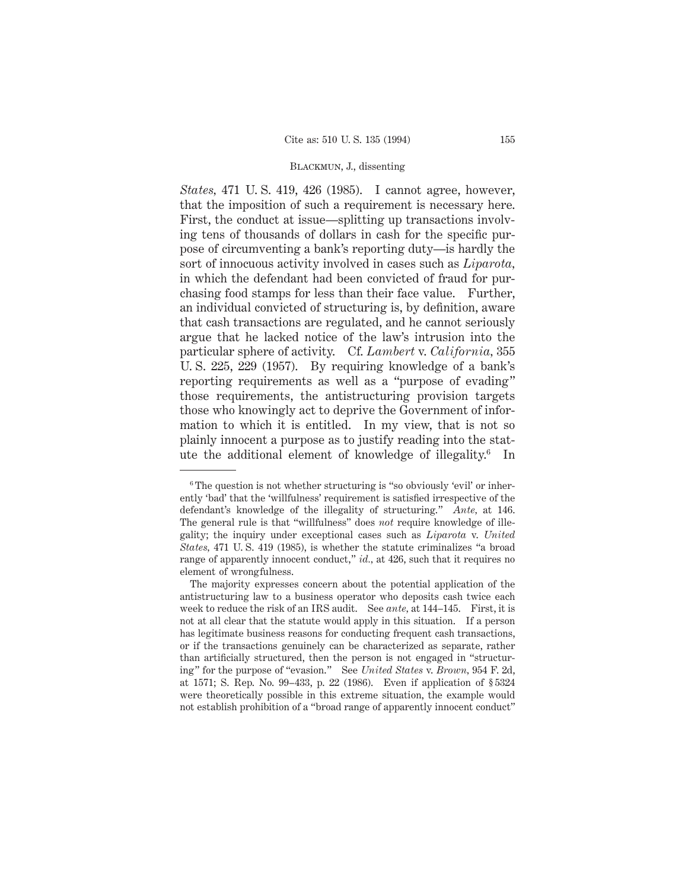*States,* 471 U. S. 419, 426 (1985). I cannot agree, however, that the imposition of such a requirement is necessary here. First, the conduct at issue—splitting up transactions involving tens of thousands of dollars in cash for the specific purpose of circumventing a bank's reporting duty—is hardly the sort of innocuous activity involved in cases such as *Liparota,* in which the defendant had been convicted of fraud for purchasing food stamps for less than their face value. Further, an individual convicted of structuring is, by definition, aware that cash transactions are regulated, and he cannot seriously argue that he lacked notice of the law's intrusion into the particular sphere of activity. Cf. *Lambert* v. *California,* 355 U. S. 225, 229 (1957). By requiring knowledge of a bank's reporting requirements as well as a "purpose of evading" those requirements, the antistructuring provision targets those who knowingly act to deprive the Government of information to which it is entitled. In my view, that is not so plainly innocent a purpose as to justify reading into the statute the additional element of knowledge of illegality.6 In

<sup>&</sup>lt;sup>6</sup> The question is not whether structuring is "so obviously 'evil' or inherently 'bad' that the 'willfulness' requirement is satisfied irrespective of the defendant's knowledge of the illegality of structuring." *Ante,* at 146. The general rule is that "willfulness" does *not* require knowledge of illegality; the inquiry under exceptional cases such as *Liparota* v. *United States,* 471 U. S. 419 (1985), is whether the statute criminalizes "a broad range of apparently innocent conduct," *id.*, at 426, such that it requires no element of wrongfulness.

The majority expresses concern about the potential application of the antistructuring law to a business operator who deposits cash twice each week to reduce the risk of an IRS audit. See *ante,* at 144–145. First, it is not at all clear that the statute would apply in this situation. If a person has legitimate business reasons for conducting frequent cash transactions, or if the transactions genuinely can be characterized as separate, rather than artificially structured, then the person is not engaged in "structuring" for the purpose of "evasion." See *United States* v. *Brown,* 954 F. 2d, at 1571; S. Rep. No. 99–433, p. 22 (1986). Even if application of § 5324 were theoretically possible in this extreme situation, the example would not establish prohibition of a "broad range of apparently innocent conduct"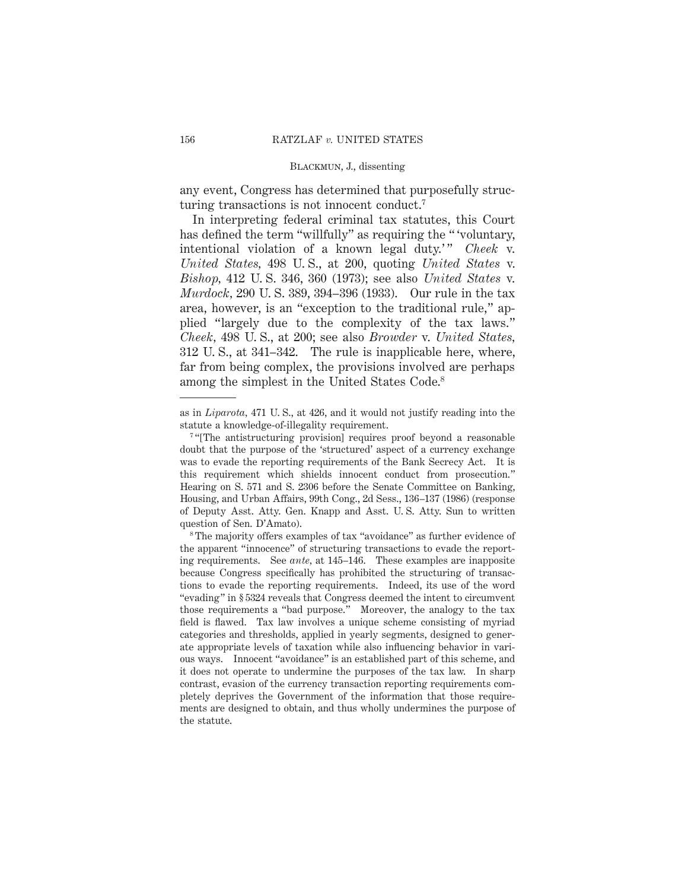any event, Congress has determined that purposefully structuring transactions is not innocent conduct.7

In interpreting federal criminal tax statutes, this Court has defined the term "willfully" as requiring the "voluntary, intentional violation of a known legal duty.'" *Cheek* v. *United States,* 498 U. S., at 200, quoting *United States* v. *Bishop,* 412 U. S. 346, 360 (1973); see also *United States* v. *Murdock,* 290 U. S. 389, 394–396 (1933). Our rule in the tax area, however, is an "exception to the traditional rule," applied "largely due to the complexity of the tax laws." *Cheek,* 498 U. S., at 200; see also *Browder* v. *United States,* 312 U. S., at 341–342. The rule is inapplicable here, where, far from being complex, the provisions involved are perhaps among the simplest in the United States Code.8

as in *Liparota,* 471 U. S., at 426, and it would not justify reading into the statute a knowledge-of-illegality requirement.

<sup>&</sup>lt;sup>7</sup> "[The antistructuring provision] requires proof beyond a reasonable doubt that the purpose of the 'structured' aspect of a currency exchange was to evade the reporting requirements of the Bank Secrecy Act. It is this requirement which shields innocent conduct from prosecution." Hearing on S. 571 and S. 2306 before the Senate Committee on Banking, Housing, and Urban Affairs, 99th Cong., 2d Sess., 136–137 (1986) (response of Deputy Asst. Atty. Gen. Knapp and Asst. U. S. Atty. Sun to written question of Sen. D'Amato).

<sup>8</sup> The majority offers examples of tax "avoidance" as further evidence of the apparent "innocence" of structuring transactions to evade the reporting requirements. See *ante,* at 145–146. These examples are inapposite because Congress specifically has prohibited the structuring of transactions to evade the reporting requirements. Indeed, its use of the word "evading" in § 5324 reveals that Congress deemed the intent to circumvent those requirements a "bad purpose." Moreover, the analogy to the tax field is flawed. Tax law involves a unique scheme consisting of myriad categories and thresholds, applied in yearly segments, designed to generate appropriate levels of taxation while also influencing behavior in various ways. Innocent "avoidance" is an established part of this scheme, and it does not operate to undermine the purposes of the tax law. In sharp contrast, evasion of the currency transaction reporting requirements completely deprives the Government of the information that those requirements are designed to obtain, and thus wholly undermines the purpose of the statute.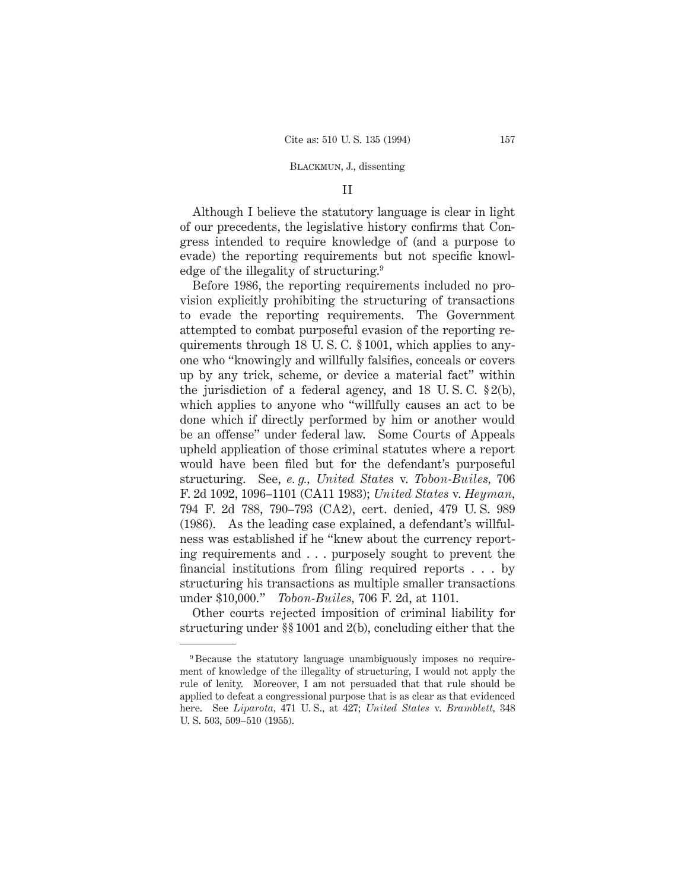### II

Although I believe the statutory language is clear in light of our precedents, the legislative history confirms that Congress intended to require knowledge of (and a purpose to evade) the reporting requirements but not specific knowledge of the illegality of structuring.9

Before 1986, the reporting requirements included no provision explicitly prohibiting the structuring of transactions to evade the reporting requirements. The Government attempted to combat purposeful evasion of the reporting requirements through 18 U. S. C. § 1001, which applies to anyone who "knowingly and willfully falsifies, conceals or covers up by any trick, scheme, or device a material fact" within the jurisdiction of a federal agency, and 18 U. S. C. § 2(b), which applies to anyone who "willfully causes an act to be done which if directly performed by him or another would be an offense" under federal law. Some Courts of Appeals upheld application of those criminal statutes where a report would have been filed but for the defendant's purposeful structuring. See, *e. g., United States* v. *Tobon-Builes,* 706 F. 2d 1092, 1096–1101 (CA11 1983); *United States* v. *Heyman,* 794 F. 2d 788, 790–793 (CA2), cert. denied, 479 U. S. 989 (1986). As the leading case explained, a defendant's willfulness was established if he "knew about the currency reporting requirements and . . . purposely sought to prevent the financial institutions from filing required reports . . . by structuring his transactions as multiple smaller transactions under \$10,000." *Tobon-Builes,* 706 F. 2d, at 1101.

Other courts rejected imposition of criminal liability for structuring under §§ 1001 and 2(b), concluding either that the

<sup>9</sup> Because the statutory language unambiguously imposes no requirement of knowledge of the illegality of structuring, I would not apply the rule of lenity. Moreover, I am not persuaded that that rule should be applied to defeat a congressional purpose that is as clear as that evidenced here. See *Liparota,* 471 U. S., at 427; *United States* v. *Bramblett,* 348 U. S. 503, 509–510 (1955).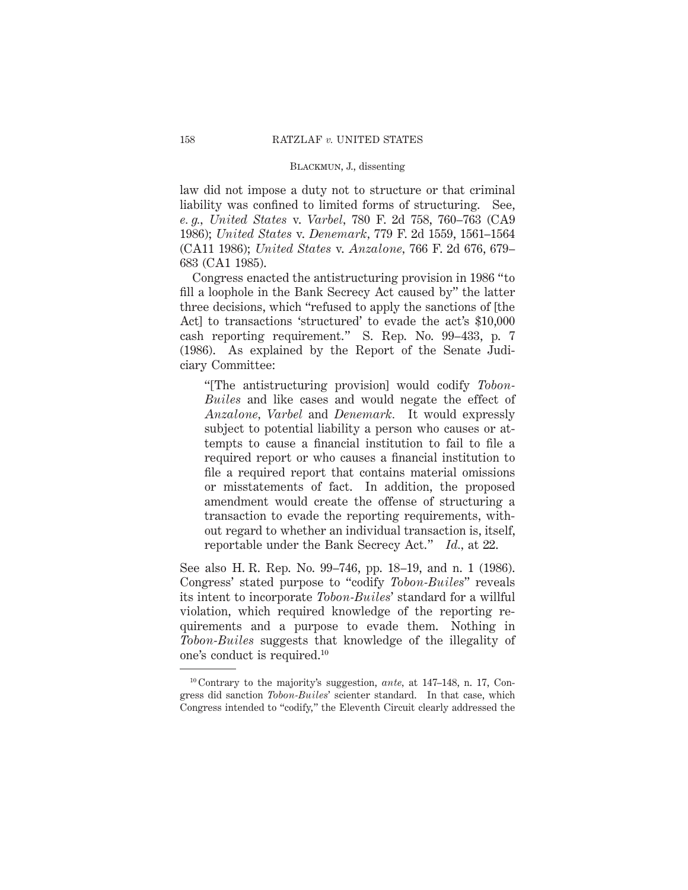law did not impose a duty not to structure or that criminal liability was confined to limited forms of structuring. See, *e. g., United States* v. *Varbel,* 780 F. 2d 758, 760–763 (CA9 1986); *United States* v. *Denemark,* 779 F. 2d 1559, 1561–1564 (CA11 1986); *United States* v. *Anzalone,* 766 F. 2d 676, 679– 683 (CA1 1985).

Congress enacted the antistructuring provision in 1986 "to fill a loophole in the Bank Secrecy Act caused by" the latter three decisions, which "refused to apply the sanctions of [the Act] to transactions 'structured' to evade the act's \$10,000 cash reporting requirement." S. Rep. No. 99–433, p. 7 (1986). As explained by the Report of the Senate Judiciary Committee:

"[The antistructuring provision] would codify *Tobon-Builes* and like cases and would negate the effect of *Anzalone, Varbel* and *Denemark.* It would expressly subject to potential liability a person who causes or attempts to cause a financial institution to fail to file a required report or who causes a financial institution to file a required report that contains material omissions or misstatements of fact. In addition, the proposed amendment would create the offense of structuring a transaction to evade the reporting requirements, without regard to whether an individual transaction is, itself, reportable under the Bank Secrecy Act." *Id.,* at 22.

See also H. R. Rep. No. 99–746, pp. 18–19, and n. 1 (1986). Congress' stated purpose to "codify *Tobon-Builes*" reveals its intent to incorporate *Tobon-Builes*' standard for a willful violation, which required knowledge of the reporting requirements and a purpose to evade them. Nothing in *Tobon-Builes* suggests that knowledge of the illegality of one's conduct is required.10

<sup>10</sup> Contrary to the majority's suggestion, *ante,* at 147–148, n. 17, Congress did sanction *Tobon-Builes*' scienter standard. In that case, which Congress intended to "codify," the Eleventh Circuit clearly addressed the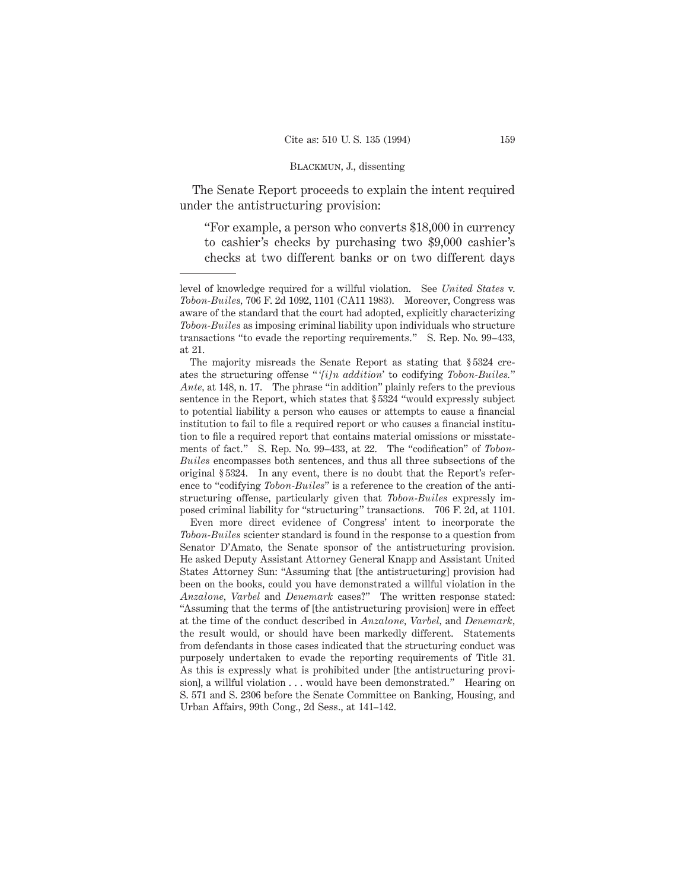The Senate Report proceeds to explain the intent required under the antistructuring provision:

"For example, a person who converts \$18,000 in currency to cashier's checks by purchasing two \$9,000 cashier's checks at two different banks or on two different days

The majority misreads the Senate Report as stating that § 5324 creates the structuring offense " '*[i]n addition*' to codifying *Tobon-Builes.*" *Ante,* at 148, n. 17. The phrase "in addition" plainly refers to the previous sentence in the Report, which states that § 5324 "would expressly subject to potential liability a person who causes or attempts to cause a financial institution to fail to file a required report or who causes a financial institution to file a required report that contains material omissions or misstatements of fact." S. Rep. No. 99–433, at 22. The "codification" of *Tobon-Builes* encompasses both sentences, and thus all three subsections of the original § 5324. In any event, there is no doubt that the Report's reference to "codifying *Tobon-Builes*" is a reference to the creation of the antistructuring offense, particularly given that *Tobon-Builes* expressly imposed criminal liability for "structuring" transactions. 706 F. 2d, at 1101.

Even more direct evidence of Congress' intent to incorporate the *Tobon-Builes* scienter standard is found in the response to a question from Senator D'Amato, the Senate sponsor of the antistructuring provision. He asked Deputy Assistant Attorney General Knapp and Assistant United States Attorney Sun: "Assuming that [the antistructuring] provision had been on the books, could you have demonstrated a willful violation in the *Anzalone, Varbel* and *Denemark* cases?" The written response stated: "Assuming that the terms of [the antistructuring provision] were in effect at the time of the conduct described in *Anzalone, Varbel,* and *Denemark,* the result would, or should have been markedly different. Statements from defendants in those cases indicated that the structuring conduct was purposely undertaken to evade the reporting requirements of Title 31. As this is expressly what is prohibited under [the antistructuring provision], a willful violation . . . would have been demonstrated." Hearing on S. 571 and S. 2306 before the Senate Committee on Banking, Housing, and Urban Affairs, 99th Cong., 2d Sess., at 141–142.

level of knowledge required for a willful violation. See *United States* v. *Tobon-Builes,* 706 F. 2d 1092, 1101 (CA11 1983). Moreover, Congress was aware of the standard that the court had adopted, explicitly characterizing *Tobon-Builes* as imposing criminal liability upon individuals who structure transactions "to evade the reporting requirements." S. Rep. No. 99–433, at 21.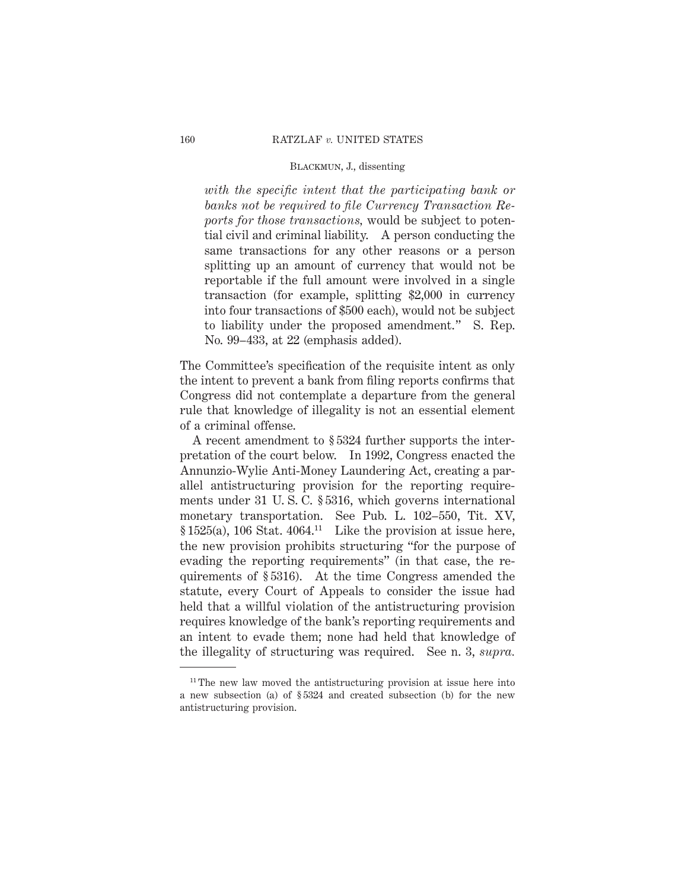*with the specific intent that the participating bank or banks not be required to file Currency Transaction Reports for those transactions,* would be subject to potential civil and criminal liability. A person conducting the same transactions for any other reasons or a person splitting up an amount of currency that would not be reportable if the full amount were involved in a single transaction (for example, splitting \$2,000 in currency into four transactions of \$500 each), would not be subject to liability under the proposed amendment." S. Rep. No. 99–433, at 22 (emphasis added).

The Committee's specification of the requisite intent as only the intent to prevent a bank from filing reports confirms that Congress did not contemplate a departure from the general rule that knowledge of illegality is not an essential element of a criminal offense.

A recent amendment to § 5324 further supports the interpretation of the court below. In 1992, Congress enacted the Annunzio-Wylie Anti-Money Laundering Act, creating a parallel antistructuring provision for the reporting requirements under 31 U. S. C. § 5316, which governs international monetary transportation. See Pub. L. 102–550, Tit. XV,  $§ 1525(a)$ , 106 Stat. 4064.<sup>11</sup> Like the provision at issue here, the new provision prohibits structuring "for the purpose of evading the reporting requirements" (in that case, the requirements of § 5316). At the time Congress amended the statute, every Court of Appeals to consider the issue had held that a willful violation of the antistructuring provision requires knowledge of the bank's reporting requirements and an intent to evade them; none had held that knowledge of the illegality of structuring was required. See n. 3, *supra.*

<sup>&</sup>lt;sup>11</sup> The new law moved the antistructuring provision at issue here into a new subsection (a) of § 5324 and created subsection (b) for the new antistructuring provision.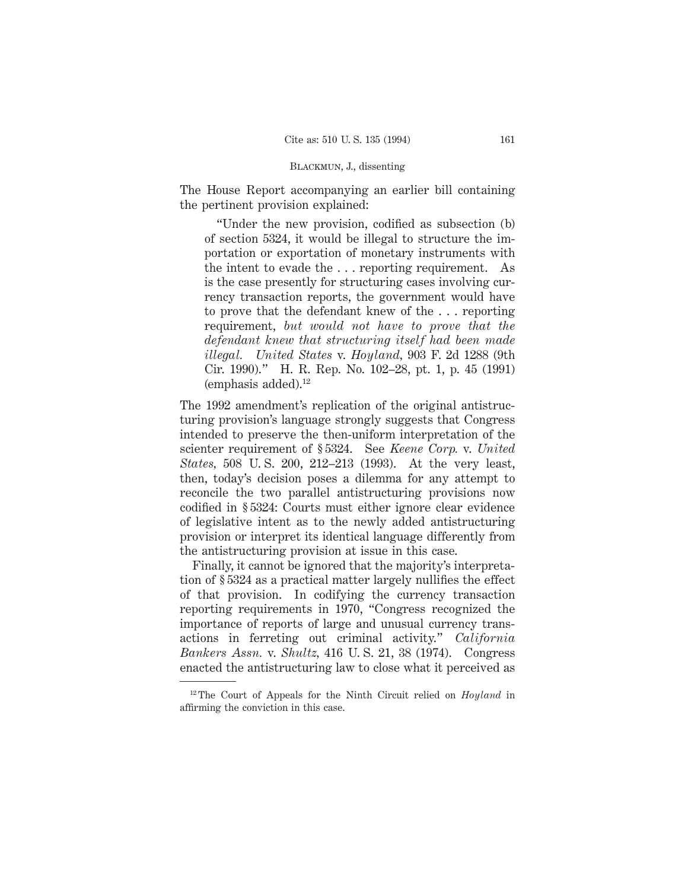The House Report accompanying an earlier bill containing the pertinent provision explained:

"Under the new provision, codified as subsection (b) of section 5324, it would be illegal to structure the importation or exportation of monetary instruments with the intent to evade the . . . reporting requirement. As is the case presently for structuring cases involving currency transaction reports, the government would have to prove that the defendant knew of the... reporting requirement, *but would not have to prove that the defendant knew that structuring itself had been made illegal. United States* v. *Hoyland,* 903 F. 2d 1288 (9th Cir. 1990)." H. R. Rep. No. 102–28, pt. 1, p. 45 (1991)  $(emphasis added).<sup>12</sup>$ 

The 1992 amendment's replication of the original antistructuring provision's language strongly suggests that Congress intended to preserve the then-uniform interpretation of the scienter requirement of § 5324. See *Keene Corp.* v. *United States,* 508 U. S. 200, 212–213 (1993). At the very least, then, today's decision poses a dilemma for any attempt to reconcile the two parallel antistructuring provisions now codified in § 5324: Courts must either ignore clear evidence of legislative intent as to the newly added antistructuring provision or interpret its identical language differently from the antistructuring provision at issue in this case.

Finally, it cannot be ignored that the majority's interpretation of § 5324 as a practical matter largely nullifies the effect of that provision. In codifying the currency transaction reporting requirements in 1970, "Congress recognized the importance of reports of large and unusual currency transactions in ferreting out criminal activity." *California Bankers Assn.* v. *Shultz,* 416 U. S. 21, 38 (1974). Congress enacted the antistructuring law to close what it perceived as

<sup>12</sup> The Court of Appeals for the Ninth Circuit relied on *Hoyland* in affirming the conviction in this case.